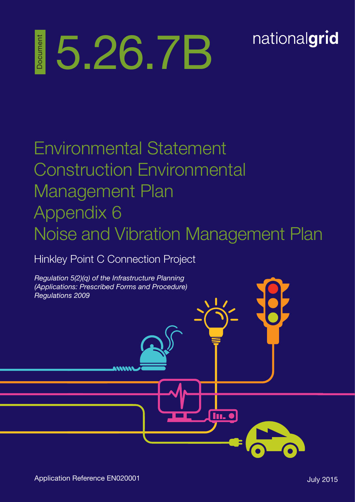# 5.26.7B

## Environmental Statement Construction Environmental Management Plan Appendix 6 Noise and Vibration Management Plan

Hinkley Point C Connection Project

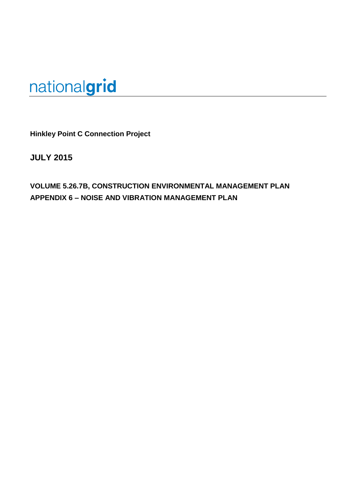## nationalgrid

**Hinkley Point C Connection Project**

**JULY 2015**

### **VOLUME 5.26.7B, CONSTRUCTION ENVIRONMENTAL MANAGEMENT PLAN APPENDIX 6 – NOISE AND VIBRATION MANAGEMENT PLAN**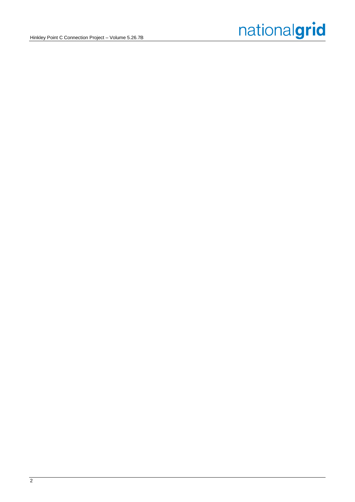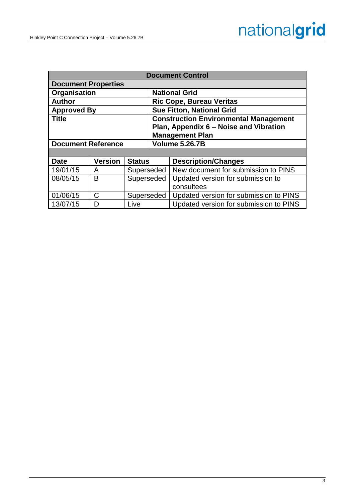| <b>Document Control</b>    |                |                                        |                                              |                                        |  |
|----------------------------|----------------|----------------------------------------|----------------------------------------------|----------------------------------------|--|
| <b>Document Properties</b> |                |                                        |                                              |                                        |  |
| Organisation               |                |                                        | <b>National Grid</b>                         |                                        |  |
| <b>Author</b>              |                |                                        | <b>Ric Cope, Bureau Veritas</b>              |                                        |  |
| <b>Approved By</b>         |                |                                        | <b>Sue Fitton, National Grid</b>             |                                        |  |
| <b>Title</b>               |                |                                        | <b>Construction Environmental Management</b> |                                        |  |
|                            |                | Plan, Appendix 6 - Noise and Vibration |                                              |                                        |  |
|                            |                |                                        | <b>Management Plan</b>                       |                                        |  |
| <b>Document Reference</b>  |                |                                        | <b>Volume 5.26.7B</b>                        |                                        |  |
|                            |                |                                        |                                              |                                        |  |
| <b>Date</b>                | <b>Version</b> | <b>Status</b>                          |                                              | <b>Description/Changes</b>             |  |
| 19/01/15                   | A              | Superseded                             |                                              | New document for submission to PINS    |  |
| 08/05/15                   | B              | Superseded                             |                                              | Updated version for submission to      |  |
|                            |                |                                        |                                              | consultees                             |  |
| 01/06/15                   | C              | Superseded                             |                                              | Updated version for submission to PINS |  |
| 13/07/15                   | D              | Live                                   |                                              | Updated version for submission to PINS |  |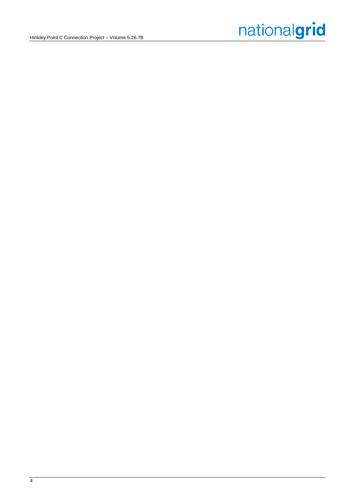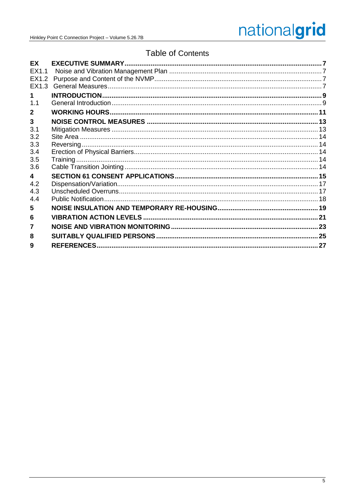#### **Table of Contents**

| <b>FX</b>      |    |
|----------------|----|
| EX1.1          |    |
| EX1.2          |    |
|                |    |
| 1              |    |
| 1 <sub>1</sub> |    |
| $\mathbf{2}$   |    |
| 3              |    |
| 3.1            |    |
| 3.2            |    |
| 3.3            |    |
| 3.4            |    |
| 3.5            |    |
| 3.6            |    |
| 4              |    |
| 4.2            |    |
| 4.3            |    |
| 4.4            |    |
| 5              |    |
| 6              |    |
| 7              |    |
| 8              |    |
| 9              | 27 |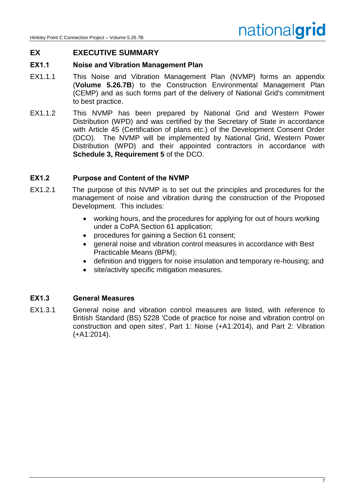#### <span id="page-7-0"></span>**EX EXECUTIVE SUMMARY**

#### <span id="page-7-1"></span>**EX1.1 Noise and Vibration Management Plan**

- EX1.1.1 This Noise and Vibration Management Plan (NVMP) forms an appendix (**Volume 5.26.7B**) to the Construction Environmental Management Plan (CEMP) and as such forms part of the delivery of National Grid's commitment to best practice.
- EX1.1.2 This NVMP has been prepared by National Grid and Western Power Distribution (WPD) and was certified by the Secretary of State in accordance with Article 45 (Certification of plans etc.) of the Development Consent Order (DCO). The NVMP will be implemented by National Grid, Western Power Distribution (WPD) and their appointed contractors in accordance with **Schedule 3, Requirement 5** of the DCO.

#### <span id="page-7-2"></span>**EX1.2 Purpose and Content of the NVMP**

- EX1.2.1 The purpose of this NVMP is to set out the principles and procedures for the management of noise and vibration during the construction of the Proposed Development. This includes:
	- working hours, and the procedures for applying for out of hours working under a CoPA Section 61 application;
	- procedures for gaining a Section 61 consent;
	- general noise and vibration control measures in accordance with Best Practicable Means (BPM);
	- definition and triggers for noise insulation and temporary re-housing; and
	- site/activity specific mitigation measures.

#### <span id="page-7-3"></span>**EX1.3 General Measures**

EX1.3.1 General noise and vibration control measures are listed, with reference to British Standard (BS) 5228 'Code of practice for noise and vibration control on construction and open sites', Part 1: Noise (+A1:2014), and Part 2: Vibration (+A1:2014).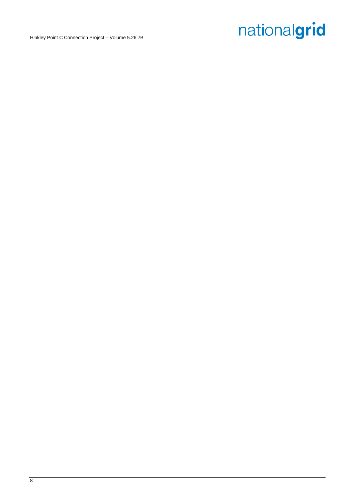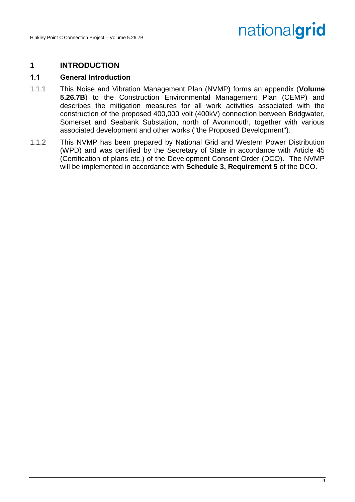

#### <span id="page-9-0"></span>**1 INTRODUCTION**

#### <span id="page-9-1"></span>**1.1 General Introduction**

- 1.1.1 This Noise and Vibration Management Plan (NVMP) forms an appendix (**Volume 5.26.7B**) to the Construction Environmental Management Plan (CEMP) and describes the mitigation measures for all work activities associated with the construction of the proposed 400,000 volt (400kV) connection between Bridgwater, Somerset and Seabank Substation, north of Avonmouth, together with various associated development and other works ("the Proposed Development").
- 1.1.2 This NVMP has been prepared by National Grid and Western Power Distribution (WPD) and was certified by the Secretary of State in accordance with Article 45 (Certification of plans etc.) of the Development Consent Order (DCO). The NVMP will be implemented in accordance with **Schedule 3, Requirement 5** of the DCO.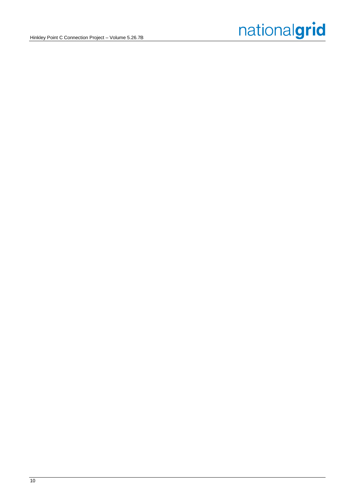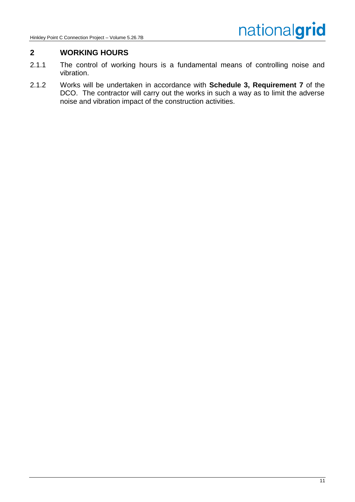#### <span id="page-11-0"></span>**2 WORKING HOURS**

- 2.1.1 The control of working hours is a fundamental means of controlling noise and vibration.
- 2.1.2 Works will be undertaken in accordance with **Schedule 3, Requirement 7** of the DCO. The contractor will carry out the works in such a way as to limit the adverse noise and vibration impact of the construction activities.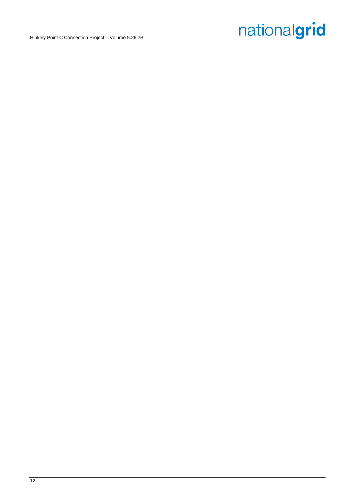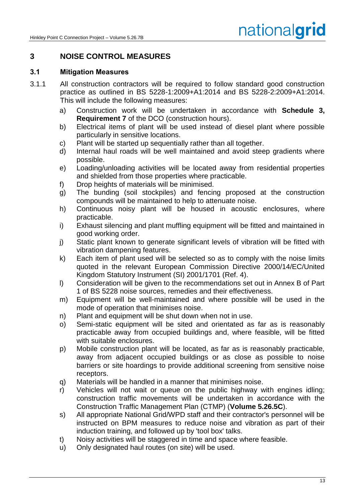#### <span id="page-13-0"></span>**3 NOISE CONTROL MEASURES**

#### <span id="page-13-1"></span>**3.1 Mitigation Measures**

- 3.1.1 All construction contractors will be required to follow standard good construction practice as outlined in BS 5228-1:2009+A1:2014 and BS 5228-2:2009+A1:2014. This will include the following measures:
	- a) Construction work will be undertaken in accordance with **Schedule 3, Requirement 7** of the DCO (construction hours).
	- b) Electrical items of plant will be used instead of diesel plant where possible particularly in sensitive locations.
	- c) Plant will be started up sequentially rather than all together.
	- d) Internal haul roads will be well maintained and avoid steep gradients where possible.
	- e) Loading/unloading activities will be located away from residential properties and shielded from those properties where practicable.
	- f) Drop heights of materials will be minimised.
	- g) The bunding (soil stockpiles) and fencing proposed at the construction compounds will be maintained to help to attenuate noise.
	- h) Continuous noisy plant will be housed in acoustic enclosures, where practicable.
	- i) Exhaust silencing and plant muffling equipment will be fitted and maintained in good working order.
	- j) Static plant known to generate significant levels of vibration will be fitted with vibration dampening features.
	- k) Each item of plant used will be selected so as to comply with the noise limits quoted in the relevant European Commission Directive 2000/14/EC/United Kingdom Statutory Instrument (SI) 2001/1701 (Ref. 4).
	- l) Consideration will be given to the recommendations set out in Annex B of Part 1 of BS 5228 noise sources, remedies and their effectiveness.
	- m) Equipment will be well-maintained and where possible will be used in the mode of operation that minimises noise.
	- n) Plant and equipment will be shut down when not in use.
	- o) Semi-static equipment will be sited and orientated as far as is reasonably practicable away from occupied buildings and, where feasible, will be fitted with suitable enclosures.
	- p) Mobile construction plant will be located, as far as is reasonably practicable, away from adjacent occupied buildings or as close as possible to noise barriers or site hoardings to provide additional screening from sensitive noise receptors.
	- q) Materials will be handled in a manner that minimises noise.
	- r) Vehicles will not wait or queue on the public highway with engines idling; construction traffic movements will be undertaken in accordance with the Construction Traffic Management Plan (CTMP) (**Volume 5.26.5C**).
	- s) All appropriate National Grid/WPD staff and their contractor's personnel will be instructed on BPM measures to reduce noise and vibration as part of their induction training, and followed up by 'tool box' talks.
	- t) Noisy activities will be staggered in time and space where feasible.
	- u) Only designated haul routes (on site) will be used.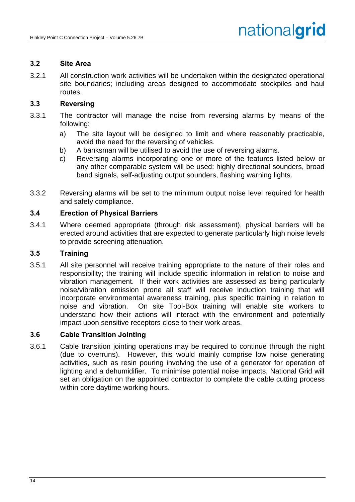#### <span id="page-14-0"></span>**3.2 Site Area**

3.2.1 All construction work activities will be undertaken within the designated operational site boundaries; including areas designed to accommodate stockpiles and haul routes.

#### <span id="page-14-1"></span>**3.3 Reversing**

- 3.3.1 The contractor will manage the noise from reversing alarms by means of the following:
	- a) The site layout will be designed to limit and where reasonably practicable, avoid the need for the reversing of vehicles.
	- b) A banksman will be utilised to avoid the use of reversing alarms.
	- c) Reversing alarms incorporating one or more of the features listed below or any other comparable system will be used: highly directional sounders, broad band signals, self-adjusting output sounders, flashing warning lights.
- 3.3.2 Reversing alarms will be set to the minimum output noise level required for health and safety compliance.

#### <span id="page-14-2"></span>**3.4 Erection of Physical Barriers**

3.4.1 Where deemed appropriate (through risk assessment), physical barriers will be erected around activities that are expected to generate particularly high noise levels to provide screening attenuation.

#### <span id="page-14-3"></span>**3.5 Training**

3.5.1 All site personnel will receive training appropriate to the nature of their roles and responsibility; the training will include specific information in relation to noise and vibration management. If their work activities are assessed as being particularly noise/vibration emission prone all staff will receive induction training that will incorporate environmental awareness training, plus specific training in relation to noise and vibration. On site Tool-Box training will enable site workers to understand how their actions will interact with the environment and potentially impact upon sensitive receptors close to their work areas.

#### <span id="page-14-4"></span>**3.6 Cable Transition Jointing**

3.6.1 Cable transition jointing operations may be required to continue through the night (due to overruns). However, this would mainly comprise low noise generating activities, such as resin pouring involving the use of a generator for operation of lighting and a dehumidifier. To minimise potential noise impacts, National Grid will set an obligation on the appointed contractor to complete the cable cutting process within core daytime working hours.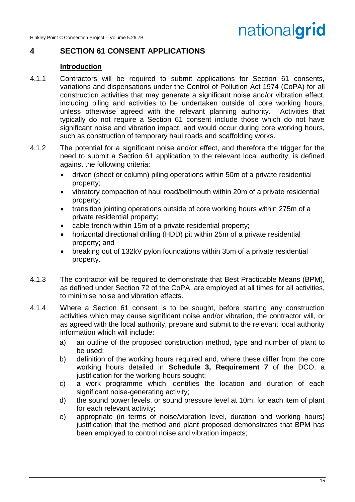#### <span id="page-15-0"></span>**4 SECTION 61 CONSENT APPLICATIONS**

#### **Introduction**

- 4.1.1 Contractors will be required to submit applications for Section 61 consents, variations and dispensations under the Control of Pollution Act 1974 (CoPA) for all construction activities that may generate a significant noise and/or vibration effect, including piling and activities to be undertaken outside of core working hours, unless otherwise agreed with the relevant planning authority. Activities that typically do not require a Section 61 consent include those which do not have significant noise and vibration impact, and would occur during core working hours, such as construction of temporary haul roads and scaffolding works.
- 4.1.2 The potential for a significant noise and/or effect, and therefore the trigger for the need to submit a Section 61 application to the relevant local authority, is defined against the following criteria:
	- driven (sheet or column) piling operations within 50m of a private residential property;
	- vibratory compaction of haul road/bellmouth within 20m of a private residential property;
	- transition jointing operations outside of core working hours within 275m of a private residential property;
	- cable trench within 15m of a private residential property;
	- horizontal directional drilling (HDD) pit within 25m of a private residential property; and
	- breaking out of 132kV pylon foundations within 35m of a private residential property.
- 4.1.3 The contractor will be required to demonstrate that Best Practicable Means (BPM), as defined under Section 72 of the CoPA, are employed at all times for all activities, to minimise noise and vibration effects.
- 4.1.4 Where a Section 61 consent is to be sought, before starting any construction activities which may cause significant noise and/or vibration, the contractor will, or as agreed with the local authority, prepare and submit to the relevant local authority information which will include:
	- a) an outline of the proposed construction method, type and number of plant to be used;
	- b) definition of the working hours required and, where these differ from the core working hours detailed in **Schedule 3, Requirement 7** of the DCO, a justification for the working hours sought;
	- c) a work programme which identifies the location and duration of each significant noise-generating activity;
	- d) the sound power levels, or sound pressure level at 10m, for each item of plant for each relevant activity;
	- e) appropriate (in terms of noise/vibration level, duration and working hours) justification that the method and plant proposed demonstrates that BPM has been employed to control noise and vibration impacts;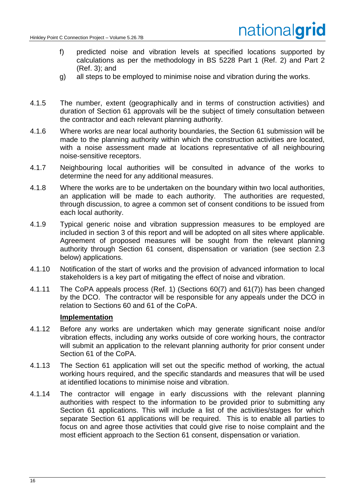- f) predicted noise and vibration levels at specified locations supported by calculations as per the methodology in BS 5228 Part 1 (Ref. 2) and Part 2 (Ref. 3); and
- g) all steps to be employed to minimise noise and vibration during the works.
- 4.1.5 The number, extent (geographically and in terms of construction activities) and duration of Section 61 approvals will be the subject of timely consultation between the contractor and each relevant planning authority.
- 4.1.6 Where works are near local authority boundaries, the Section 61 submission will be made to the planning authority within which the construction activities are located, with a noise assessment made at locations representative of all neighbouring noise-sensitive receptors.
- 4.1.7 Neighbouring local authorities will be consulted in advance of the works to determine the need for any additional measures.
- 4.1.8 Where the works are to be undertaken on the boundary within two local authorities, an application will be made to each authority. The authorities are requested, through discussion, to agree a common set of consent conditions to be issued from each local authority.
- 4.1.9 Typical generic noise and vibration suppression measures to be employed are included in section 3 of this report and will be adopted on all sites where applicable. Agreement of proposed measures will be sought from the relevant planning authority through Section 61 consent, dispensation or variation (see section 2.3 below) applications.
- 4.1.10 Notification of the start of works and the provision of advanced information to local stakeholders is a key part of mitigating the effect of noise and vibration.
- 4.1.11 The CoPA appeals process (Ref. 1) (Sections 60(7) and 61(7)) has been changed by the DCO. The contractor will be responsible for any appeals under the DCO in relation to Sections 60 and 61 of the CoPA.

#### **Implementation**

- 4.1.12 Before any works are undertaken which may generate significant noise and/or vibration effects, including any works outside of core working hours, the contractor will submit an application to the relevant planning authority for prior consent under Section 61 of the CoPA.
- 4.1.13 The Section 61 application will set out the specific method of working, the actual working hours required, and the specific standards and measures that will be used at identified locations to minimise noise and vibration.
- 4.1.14 The contractor will engage in early discussions with the relevant planning authorities with respect to the information to be provided prior to submitting any Section 61 applications. This will include a list of the activities/stages for which separate Section 61 applications will be required. This is to enable all parties to focus on and agree those activities that could give rise to noise complaint and the most efficient approach to the Section 61 consent, dispensation or variation.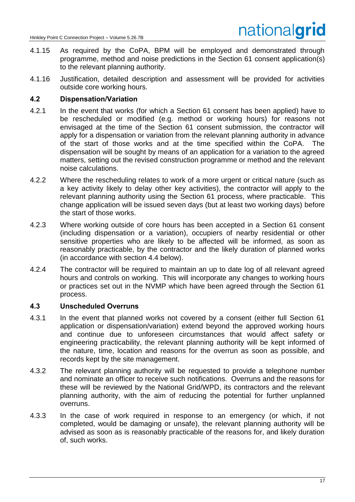- 4.1.15 As required by the CoPA, BPM will be employed and demonstrated through programme, method and noise predictions in the Section 61 consent application(s) to the relevant planning authority.
- 4.1.16 Justification, detailed description and assessment will be provided for activities outside core working hours.

#### <span id="page-17-0"></span>**4.2 Dispensation/Variation**

- 4.2.1 In the event that works (for which a Section 61 consent has been applied) have to be rescheduled or modified (e.g. method or working hours) for reasons not envisaged at the time of the Section 61 consent submission, the contractor will apply for a dispensation or variation from the relevant planning authority in advance of the start of those works and at the time specified within the CoPA. The dispensation will be sought by means of an application for a variation to the agreed matters, setting out the revised construction programme or method and the relevant noise calculations.
- 4.2.2 Where the rescheduling relates to work of a more urgent or critical nature (such as a key activity likely to delay other key activities), the contractor will apply to the relevant planning authority using the Section 61 process, where practicable. This change application will be issued seven days (but at least two working days) before the start of those works.
- 4.2.3 Where working outside of core hours has been accepted in a Section 61 consent (including dispensation or a variation), occupiers of nearby residential or other sensitive properties who are likely to be affected will be informed, as soon as reasonably practicable, by the contractor and the likely duration of planned works (in accordance with section [4.4](#page-18-0) below).
- 4.2.4 The contractor will be required to maintain an up to date log of all relevant agreed hours and controls on working. This will incorporate any changes to working hours or practices set out in the NVMP which have been agreed through the Section 61 process.

#### <span id="page-17-1"></span>**4.3 Unscheduled Overruns**

- 4.3.1 In the event that planned works not covered by a consent (either full Section 61 application or dispensation/variation) extend beyond the approved working hours and continue due to unforeseen circumstances that would affect safety or engineering practicability, the relevant planning authority will be kept informed of the nature, time, location and reasons for the overrun as soon as possible, and records kept by the site management.
- 4.3.2 The relevant planning authority will be requested to provide a telephone number and nominate an officer to receive such notifications. Overruns and the reasons for these will be reviewed by the National Grid/WPD, its contractors and the relevant planning authority, with the aim of reducing the potential for further unplanned overruns.
- 4.3.3 In the case of work required in response to an emergency (or which, if not completed, would be damaging or unsafe), the relevant planning authority will be advised as soon as is reasonably practicable of the reasons for, and likely duration of, such works.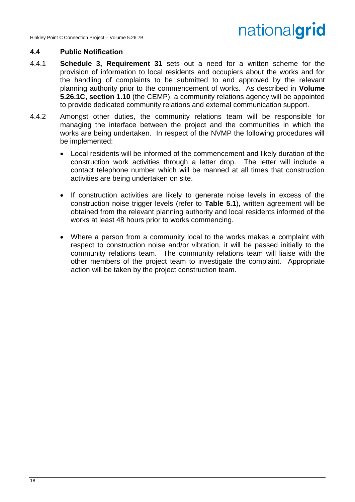#### <span id="page-18-0"></span>**4.4 Public Notification**

- 4.4.1 **Schedule 3, Requirement 31** sets out a need for a written scheme for the provision of information to local residents and occupiers about the works and for the handling of complaints to be submitted to and approved by the relevant planning authority prior to the commencement of works. As described in **Volume 5.26.1C, section 1.10** (the CEMP), a community relations agency will be appointed to provide dedicated community relations and external communication support.
- 4.4.2 Amongst other duties, the community relations team will be responsible for managing the interface between the project and the communities in which the works are being undertaken. In respect of the NVMP the following procedures will be implemented:
	- Local residents will be informed of the commencement and likely duration of the construction work activities through a letter drop. The letter will include a contact telephone number which will be manned at all times that construction activities are being undertaken on site.
	- If construction activities are likely to generate noise levels in excess of the construction noise trigger levels (refer to **[Table 5.1](#page-19-1)**), written agreement will be obtained from the relevant planning authority and local residents informed of the works at least 48 hours prior to works commencing.
	- Where a person from a community local to the works makes a complaint with respect to construction noise and/or vibration, it will be passed initially to the community relations team. The community relations team will liaise with the other members of the project team to investigate the complaint. Appropriate action will be taken by the project construction team.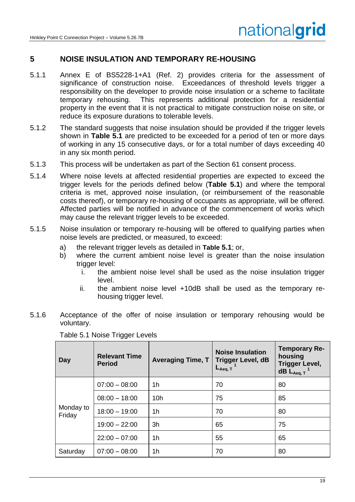#### <span id="page-19-0"></span>**5 NOISE INSULATION AND TEMPORARY RE-HOUSING**

- 5.1.1 Annex E of BS5228-1+A1 (Ref. 2) provides criteria for the assessment of significance of construction noise. Exceedances of threshold levels trigger a responsibility on the developer to provide noise insulation or a scheme to facilitate temporary rehousing. This represents additional protection for a residential property in the event that it is not practical to mitigate construction noise on site, or reduce its exposure durations to tolerable levels.
- 5.1.2 The standard suggests that noise insulation should be provided if the trigger levels shown in **[Table 5.1](#page-19-1)** are predicted to be exceeded for a period of ten or more days of working in any 15 consecutive days, or for a total number of days exceeding 40 in any six month period.
- 5.1.3 This process will be undertaken as part of the Section 61 consent process.
- 5.1.4 Where noise levels at affected residential properties are expected to exceed the trigger levels for the periods defined below (**[Table 5.1](#page-19-1)**) and where the temporal criteria is met, approved noise insulation, (or reimbursement of the reasonable costs thereof), or temporary re-housing of occupants as appropriate, will be offered. Affected parties will be notified in advance of the commencement of works which may cause the relevant trigger levels to be exceeded.
- 5.1.5 Noise insulation or temporary re-housing will be offered to qualifying parties when noise levels are predicted, or measured, to exceed:
	- a) the relevant trigger levels as detailed in **[Table](#page-19-1) 5.1**; or,
	- b) where the current ambient noise level is greater than the noise insulation trigger level:
		- i. the ambient noise level shall be used as the noise insulation trigger level.
		- ii. the ambient noise level +10dB shall be used as the temporary rehousing trigger level.
- <span id="page-19-1"></span>5.1.6 Acceptance of the offer of noise insulation or temporary rehousing would be voluntary.

| <b>Day</b>          | <b>Relevant Time</b><br><b>Period</b> | Averaging Time, T   Trigger Level, dB | <b>Noise Insulation</b><br>$L_{Aeq, T}$ | <b>Temporary Re-</b><br>housing<br><b>Trigger Level,</b><br>$dB$ $L_{Aeq, T}$ <sup>1</sup> |
|---------------------|---------------------------------------|---------------------------------------|-----------------------------------------|--------------------------------------------------------------------------------------------|
| Monday to<br>Friday | $07:00 - 08:00$                       | 1h                                    | 70                                      | 80                                                                                         |
|                     | $08:00 - 18:00$                       | 10 <sub>h</sub>                       | 75                                      | 85                                                                                         |
|                     | $18:00 - 19:00$                       | 1 <sub>h</sub>                        | 70                                      | 80                                                                                         |
|                     | $19:00 - 22:00$                       | 3 <sub>h</sub>                        | 65                                      | 75                                                                                         |
|                     | $22:00 - 07:00$                       | 1h                                    | 55                                      | 65                                                                                         |
| Saturday            | $07:00 - 08:00$                       | 1h                                    | 70                                      | 80                                                                                         |

Table 5.1 Noise Trigger Levels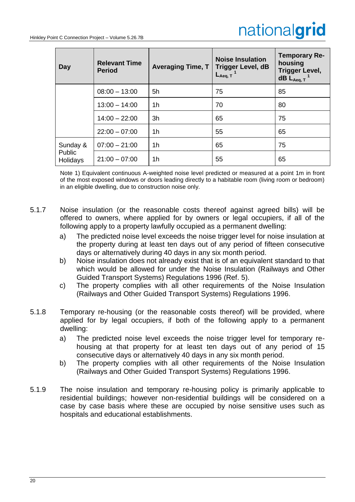| Day                            | <b>Relevant Time</b><br><b>Period</b> | <b>Averaging Time, T</b> | <b>Noise Insulation</b><br><b>Trigger Level, dB</b><br>$L_{Aeq, T}$ | <b>Temporary Re-</b><br>housing<br><b>Trigger Level,</b><br>$dB$ $L_{Aeq, T}$ |
|--------------------------------|---------------------------------------|--------------------------|---------------------------------------------------------------------|-------------------------------------------------------------------------------|
|                                | $08:00 - 13:00$                       | 5h                       | 75                                                                  | 85                                                                            |
|                                | $13:00 - 14:00$                       | 1h                       | 70                                                                  | 80                                                                            |
|                                | $14:00 - 22:00$                       | 3h                       | 65                                                                  | 75                                                                            |
|                                | $22:00 - 07:00$                       | 1 <sub>h</sub>           | 55                                                                  | 65                                                                            |
| Sunday &<br>Public<br>Holidays | $07:00 - 21:00$                       | 1h                       | 65                                                                  | 75                                                                            |
|                                | $21:00 - 07:00$                       | 1h                       | 55                                                                  | 65                                                                            |

Note 1) Equivalent continuous A-weighted noise level predicted or measured at a point 1m in front of the most exposed windows or doors leading directly to a habitable room (living room or bedroom) in an eligible dwelling, due to construction noise only.

- 5.1.7 Noise insulation (or the reasonable costs thereof against agreed bills) will be offered to owners, where applied for by owners or legal occupiers, if all of the following apply to a property lawfully occupied as a permanent dwelling:
	- a) The predicted noise level exceeds the noise trigger level for noise insulation at the property during at least ten days out of any period of fifteen consecutive days or alternatively during 40 days in any six month period.
	- b) Noise insulation does not already exist that is of an equivalent standard to that which would be allowed for under the Noise Insulation (Railways and Other Guided Transport Systems) Regulations 1996 (Ref. 5).
	- c) The property complies with all other requirements of the Noise Insulation (Railways and Other Guided Transport Systems) Regulations 1996.
- 5.1.8 Temporary re-housing (or the reasonable costs thereof) will be provided, where applied for by legal occupiers, if both of the following apply to a permanent dwelling:
	- a) The predicted noise level exceeds the noise trigger level for temporary rehousing at that property for at least ten days out of any period of 15 consecutive days or alternatively 40 days in any six month period.
	- b) The property complies with all other requirements of the Noise Insulation (Railways and Other Guided Transport Systems) Regulations 1996.
- 5.1.9 The noise insulation and temporary re-housing policy is primarily applicable to residential buildings; however non-residential buildings will be considered on a case by case basis where these are occupied by noise sensitive uses such as hospitals and educational establishments.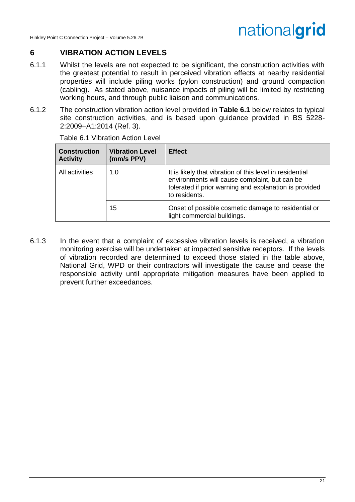#### <span id="page-21-0"></span>**6 VIBRATION ACTION LEVELS**

- 6.1.1 Whilst the levels are not expected to be significant, the construction activities with the greatest potential to result in perceived vibration effects at nearby residential properties will include piling works (pylon construction) and ground compaction (cabling). As stated above, nuisance impacts of piling will be limited by restricting working hours, and through public liaison and communications.
- 6.1.2 The construction vibration action level provided in **Table 6.1** below relates to typical site construction activities, and is based upon guidance provided in BS 5228- 2:2009+A1:2014 (Ref. 3).

| <b>Construction</b><br><b>Activity</b> | <b>Vibration Level</b><br>(mm/s PPV) | <b>Effect</b>                                                                                                                                                                        |
|----------------------------------------|--------------------------------------|--------------------------------------------------------------------------------------------------------------------------------------------------------------------------------------|
| All activities                         | 1.0                                  | It is likely that vibration of this level in residential<br>environments will cause complaint, but can be<br>tolerated if prior warning and explanation is provided<br>to residents. |
|                                        | 15                                   | Onset of possible cosmetic damage to residential or<br>light commercial buildings.                                                                                                   |

Table 6.1 Vibration Action Level

6.1.3 In the event that a complaint of excessive vibration levels is received, a vibration monitoring exercise will be undertaken at impacted sensitive receptors. If the levels of vibration recorded are determined to exceed those stated in the table above, National Grid, WPD or their contractors will investigate the cause and cease the responsible activity until appropriate mitigation measures have been applied to prevent further exceedances.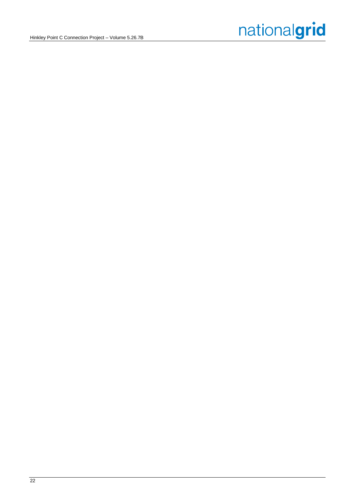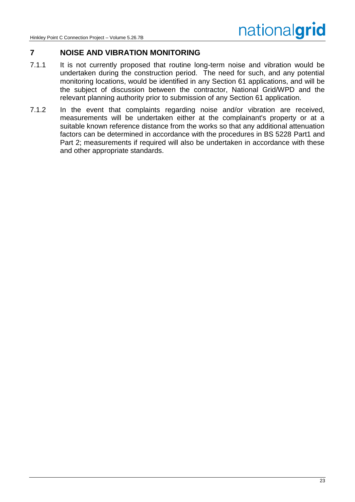#### <span id="page-23-0"></span>**7 NOISE AND VIBRATION MONITORING**

- 7.1.1 It is not currently proposed that routine long-term noise and vibration would be undertaken during the construction period. The need for such, and any potential monitoring locations, would be identified in any Section 61 applications, and will be the subject of discussion between the contractor, National Grid/WPD and the relevant planning authority prior to submission of any Section 61 application.
- 7.1.2 In the event that complaints regarding noise and/or vibration are received, measurements will be undertaken either at the complainant's property or at a suitable known reference distance from the works so that any additional attenuation factors can be determined in accordance with the procedures in BS 5228 Part1 and Part 2; measurements if required will also be undertaken in accordance with these and other appropriate standards.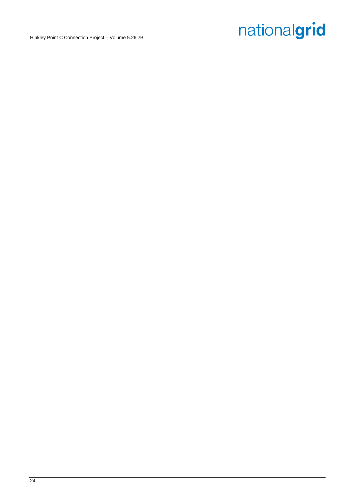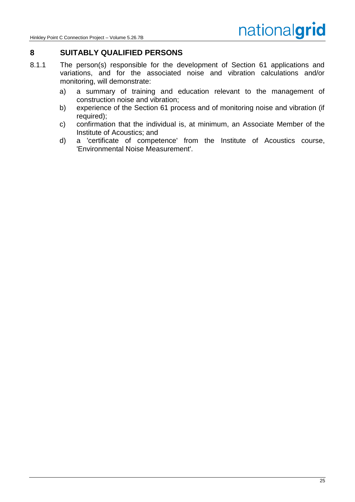#### <span id="page-25-0"></span>**8 SUITABLY QUALIFIED PERSONS**

- 8.1.1 The person(s) responsible for the development of Section 61 applications and variations, and for the associated noise and vibration calculations and/or monitoring, will demonstrate:
	- a) a summary of training and education relevant to the management of construction noise and vibration;
	- b) experience of the Section 61 process and of monitoring noise and vibration (if required);
	- c) confirmation that the individual is, at minimum, an Associate Member of the Institute of Acoustics; and
	- d) a 'certificate of competence' from the Institute of Acoustics course, 'Environmental Noise Measurement'.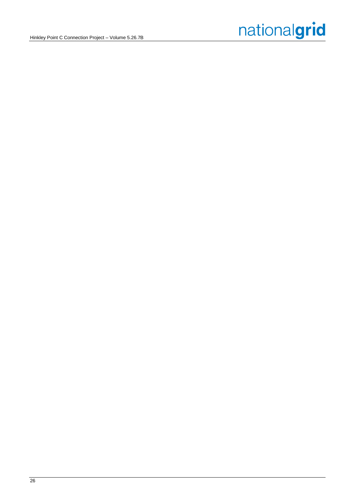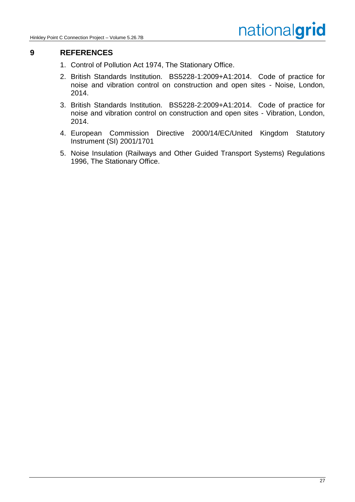#### <span id="page-27-0"></span>**9 REFERENCES**

- 1. Control of Pollution Act 1974, The Stationary Office.
- 2. British Standards Institution. BS5228-1:2009+A1:2014. Code of practice for noise and vibration control on construction and open sites - Noise, London, 2014.
- 3. British Standards Institution. BS5228-2:2009+A1:2014. Code of practice for noise and vibration control on construction and open sites - Vibration, London, 2014.
- 4. European Commission Directive 2000/14/EC/United Kingdom Statutory Instrument (SI) 2001/1701
- 5. Noise Insulation (Railways and Other Guided Transport Systems) Regulations 1996, The Stationary Office.